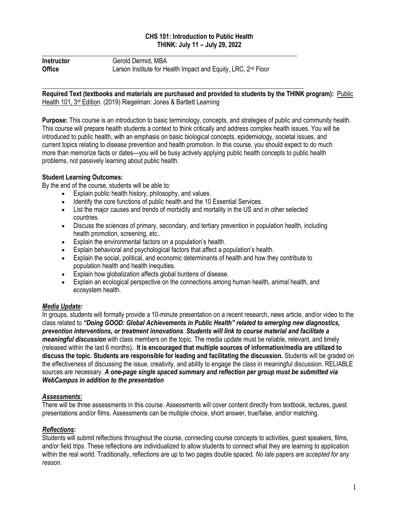## **CHS 101: Introduction to Public Health THINK: July 11 – July 29, 2022**

| <b>Instructor</b> | Gerold Dermid, MBA                                                        |
|-------------------|---------------------------------------------------------------------------|
| <b>Office</b>     | Larson Institute for Health Impact and Equity, LRC, 2 <sup>nd</sup> Floor |

**\_\_\_\_\_\_\_\_\_\_\_\_\_\_\_\_\_\_\_\_\_\_\_\_\_\_\_\_\_\_\_\_\_\_\_\_\_\_\_\_\_\_\_\_\_\_\_\_\_\_\_\_\_\_\_\_\_\_\_\_\_\_\_\_\_\_\_\_\_\_\_\_\_\_\_\_\_\_**

\_\_\_\_\_\_\_\_\_\_\_\_\_\_\_\_\_\_\_\_\_\_\_\_\_\_\_\_\_\_\_\_\_\_\_\_\_\_\_\_\_\_\_\_\_\_\_\_\_\_\_\_\_\_\_\_\_\_\_\_\_\_\_\_\_\_\_\_\_\_\_\_\_\_\_\_\_\_\_\_ **Required Text (textbooks and materials are purchased and provided to students by the THINK program):** Public Health 101, 3rd Edition. (2019) Riegelman: Jones & Bartlett Learning

**Purpose:** This course is an introduction to basic terminology, concepts, and strategies of public and community health. This course will prepare health students a context to think critically and address complex health issues. You will be introduced to public health, with an emphasis on basic biological concepts, epidemiology, societal issues, and current topics relating to disease prevention and health promotion. In this course, you should expect to do much more than memorize facts or dates—you will be busy actively applying public health concepts to public health problems, not passively learning about public health.

## **Student Learning Outcomes:**

By the end of the course, students will be able to:

- Explain public health history, philosophy, and values.
- Identify the core functions of public health and the 10 Essential Services.
- List the major causes and trends of morbidity and mortality in the US and in other selected countries.
- Discuss the sciences of primary, secondary, and tertiary prevention in population health, including health promotion, screening, etc..
- Explain the environmental factors on a population's health.
- Explain behavioral and psychological factors that affect a population's health.
- Explain the social, political, and economic determinants of health and how they contribute to population health and health inequities.
- Explain how globalization affects global burdens of disease.
- Explain an ecological perspective on the connections among human health, animal health, and ecosystem health.

## *Media Update:*

In groups, students will formally provide a 10-minute presentation on a recent research, news article, and/or video to the class related to *"Doing GOOD: Global Achievements in Public Health" related to emerging new diagnostics, prevention interventions, or treatment innovations*. *Students will link to course material and facilitate a meaningful discussion* with class members on the topic. The media update must be reliable, relevant, and timely (released within the last 6 months)**. It is encouraged that multiple sources of information/media are utilized to discuss the topic. Students are responsible for leading and facilitating the discussion.** Students will be graded on the effectiveness of discussing the issue, creativity, and ability to engage the class in meaningful discussion. RELIABLE sources are necessary. *A one-page single spaced summary and reflection per group must be submitted via WebCampus in addition to the presentation*

## *Assessments:*

There will be three assessments in this course. Assessments will cover content directly from textbook, lectures, guest presentations and/or films. Assessments can be multiple choice, short answer, true/false, and/or matching.

#### *Reflections***:**

Students will submit reflections throughout the course, connecting course concepts to activities, guest speakers, films, and/or field trips. These reflections are individualized to allow students to connect what they are learning to application within the real world. Traditionally, reflections are up to two pages double spaced. *No late papers are accepted for any reason.*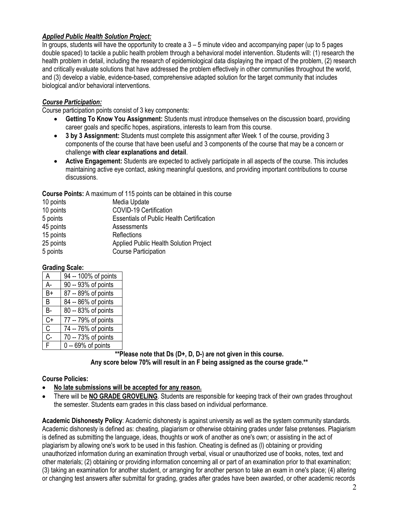# *Applied Public Health Solution Project:*

In groups, students will have the opportunity to create a 3 – 5 minute video and accompanying paper (up to 5 pages double spaced) to tackle a public health problem through a behavioral model intervention. Students will: (1) research the health problem in detail, including the research of epidemiological data displaying the impact of the problem, (2) research and critically evaluate solutions that have addressed the problem effectively in other communities throughout the world, and (3) develop a viable, evidence-based, comprehensive adapted solution for the target community that includes biological and/or behavioral interventions.

# *Course Participation:*

Course participation points consist of 3 key components:

- **Getting To Know You Assignment:** Students must introduce themselves on the discussion board, providing career goals and specific hopes, aspirations, interests to learn from this course.
- **3 by 3 Assignment:** Students must complete this assignment after Week 1 of the course, providing 3 components of the course that have been useful and 3 components of the course that may be a concern or challenge **with clear explanations and detail**.
- **Active Engagement:** Students are expected to actively participate in all aspects of the course. This includes maintaining active eye contact, asking meaningful questions, and providing important contributions to course discussions.

**Course Points:** A maximum of 115 points can be obtained in this course

| 10 points | Media Update                                     |
|-----------|--------------------------------------------------|
|           |                                                  |
| 10 points | COVID-19 Certification                           |
| 5 points  | <b>Essentials of Public Health Certification</b> |
| 45 points | Assessments                                      |
| 15 points | Reflections                                      |
| 25 points | Applied Public Health Solution Project           |
| 5 points  | <b>Course Participation</b>                      |
|           |                                                  |

## **Grading Scale:**

| A            | $\overline{94}$ -- 100% of points |
|--------------|-----------------------------------|
|              |                                   |
| A-           | 90 -- 93% of points               |
| B+           | 87 -- 89% of points               |
| B            | 84 -- 86% of points               |
| B-           | 80 -- 83% of points               |
| C+           | 77 -- 79% of points               |
| $\mathsf{C}$ | 74 -- 76% of points               |
| $C -$        | 70 -- 73% of points               |
| F            | $0 - 69%$ of points               |

**\*\*Please note that Ds (D+, D, D-) are not given in this course. Any score below 70% will result in an F being assigned as the course grade.\*\***

## **Course Policies:**

- **No late submissions will be accepted for any reason.**
- There will be **NO GRADE GROVELING**. Students are responsible for keeping track of their own grades throughout the semester. Students earn grades in this class based on individual performance.

**Academic Dishonesty Policy**: Academic dishonesty is against university as well as the system community standards. Academic dishonesty is defined as: cheating, plagiarism or otherwise obtaining grades under false pretenses. Plagiarism is defined as submitting the language, ideas, thoughts or work of another as one's own; or assisting in the act of plagiarism by allowing one's work to be used in this fashion. Cheating is defined as (l) obtaining or providing unauthorized information during an examination through verbal, visual or unauthorized use of books, notes, text and other materials; (2) obtaining or providing information concerning all or part of an examination prior to that examination; (3) taking an examination for another student, or arranging for another person to take an exam in one's place; (4) altering or changing test answers after submittal for grading, grades after grades have been awarded, or other academic records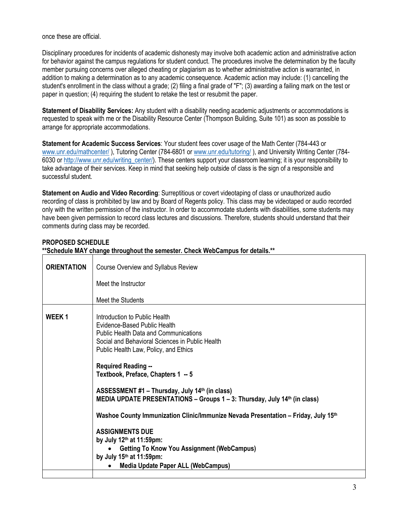once these are official.

Disciplinary procedures for incidents of academic dishonesty may involve both academic action and administrative action for behavior against the campus regulations for student conduct. The procedures involve the determination by the faculty member pursuing concerns over alleged cheating or plagiarism as to whether administrative action is warranted, in addition to making a determination as to any academic consequence. Academic action may include: (1) cancelling the student's enrollment in the class without a grade; (2) filing a final grade of "F"; (3) awarding a failing mark on the test or paper in question; (4) requiring the student to retake the test or resubmit the paper.

**Statement of Disability Services:** Any student with a disability needing academic adjustments or accommodations is requested to speak with me or the Disability Resource Center (Thompson Building, Suite 101) as soon as possible to arrange for appropriate accommodations.

**Statement for Academic Success Services**: Your student fees cover usage of the Math Center (784-443 or [www.unr.edu/mathcenter/](http://www.unr.edu/mathcenter) ), Tutoring Center (784-6801 o[r www.unr.edu/tutoring/](http://www.unr.edu/tutoring/) ), and University Writing Center (784- 6030 or [http://www.unr.edu/writing\\_center/\)](http://www.unr.edu/writing_center/). These centers support your classroom learning; it is your responsibility to take advantage of their services. Keep in mind that seeking help outside of class is the sign of a responsible and successful student.

**Statement on Audio and Video Recording**: Surreptitious or covert videotaping of class or unauthorized audio recording of class is prohibited by law and by Board of Regents policy. This class may be videotaped or audio recorded only with the written permission of the instructor. In order to accommodate students with disabilities, some students may have been given permission to record class lectures and discussions. Therefore, students should understand that their comments during class may be recorded.

|  |  | <b>PROPOSED SCHEDULE</b> |  |
|--|--|--------------------------|--|
|  |  |                          |  |

| **Schedule MAY change throughout the semester. Check WebCampus for details.** |                                                                                                                                                                                                                                                                                                                                                                                                                                                                                                                                                                                                                                                                                                         |  |
|-------------------------------------------------------------------------------|---------------------------------------------------------------------------------------------------------------------------------------------------------------------------------------------------------------------------------------------------------------------------------------------------------------------------------------------------------------------------------------------------------------------------------------------------------------------------------------------------------------------------------------------------------------------------------------------------------------------------------------------------------------------------------------------------------|--|
| <b>ORIENTATION</b>                                                            | Course Overview and Syllabus Review                                                                                                                                                                                                                                                                                                                                                                                                                                                                                                                                                                                                                                                                     |  |
|                                                                               | Meet the Instructor                                                                                                                                                                                                                                                                                                                                                                                                                                                                                                                                                                                                                                                                                     |  |
|                                                                               | Meet the Students                                                                                                                                                                                                                                                                                                                                                                                                                                                                                                                                                                                                                                                                                       |  |
| <b>WEEK1</b>                                                                  | Introduction to Public Health<br>Evidence-Based Public Health<br><b>Public Health Data and Communications</b><br>Social and Behavioral Sciences in Public Health<br>Public Health Law, Policy, and Ethics<br><b>Required Reading --</b><br>Textbook, Preface, Chapters 1 -- 5<br>ASSESSMENT #1 - Thursday, July 14th (in class)<br>MEDIA UPDATE PRESENTATIONS - Groups 1 - 3: Thursday, July 14th (in class)<br>Washoe County Immunization Clinic/Immunize Nevada Presentation - Friday, July 15 <sup>th</sup><br><b>ASSIGNMENTS DUE</b><br>by July 12th at 11:59pm:<br><b>Getting To Know You Assignment (WebCampus)</b><br>by July $15th$ at $11:59$ pm:<br><b>Media Update Paper ALL (WebCampus)</b> |  |
|                                                                               |                                                                                                                                                                                                                                                                                                                                                                                                                                                                                                                                                                                                                                                                                                         |  |